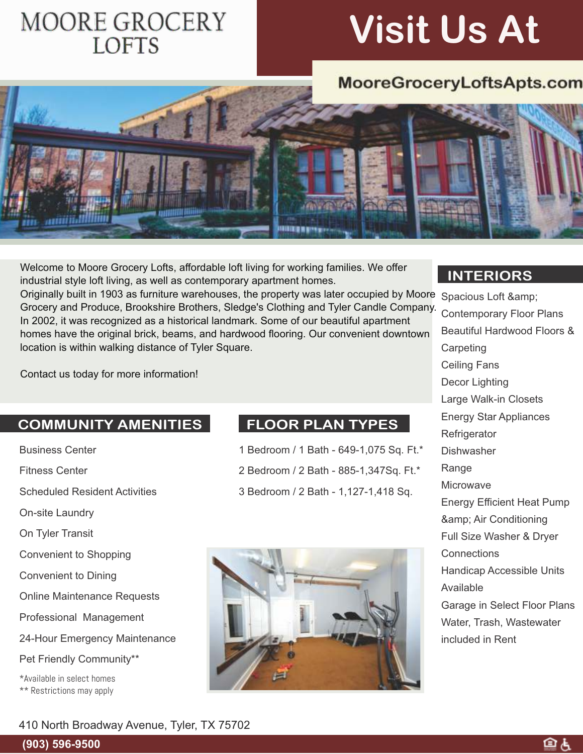## **MOORE GROCERY LOFTS**

# **Visit Us At**

## MooreGroceryLoftsApts.com



Originally built in 1903 as furniture warehouses, the property was later occupied by Moore Spacious Loft & Welcome to Moore Grocery Lofts, affordable loft living for working families. We offer industrial style loft living, as well as contemporary apartment homes. Grocery and Produce, Brookshire Brothers, Sledge's Clothing and Tyler Candle Company.

In 2002, it was recognized as a historical landmark. Some of our beautiful apartment homes have the original brick, beams, and hardwood flooring. Our convenient downtown location is within walking distance of Tyler Square.

Contact us today for more information!

#### **COMMUNITY AMENITIES**

- Business Center
- Fitness Center

Scheduled Resident Activities

On-site Laundry

On Tyler Transit

Convenient to Shopping

Convenient to Dining

Online Maintenance Requests

Professional Management

24-Hour Emergency Maintenance

Pet Friendly Community\*\*

\*Available in select homes \*\* Restrictions may apply

### **FLOOR PLAN TYPES**

- 1 Bedroom / 1 Bath 649-1,075 Sq. Ft.\*
- 2 Bedroom / 2 Bath 885-1,347Sq. Ft.\*
- 3 Bedroom / 2 Bath 1,127-1,418 Sq.



#### **INTERIORS**

Contemporary Floor Plans Beautiful Hardwood Floors & **Carpeting** Ceiling Fans Decor Lighting Large Walk-in Closets Energy Star Appliances **Refrigerator** Dishwasher Range **Microwave** Energy Efficient Heat Pump & amp; Air Conditioning Full Size Washer & Dryer **Connections** Handicap Accessible Units Available Garage in Select Floor Plans Water, Trash, Wastewater included in Rent